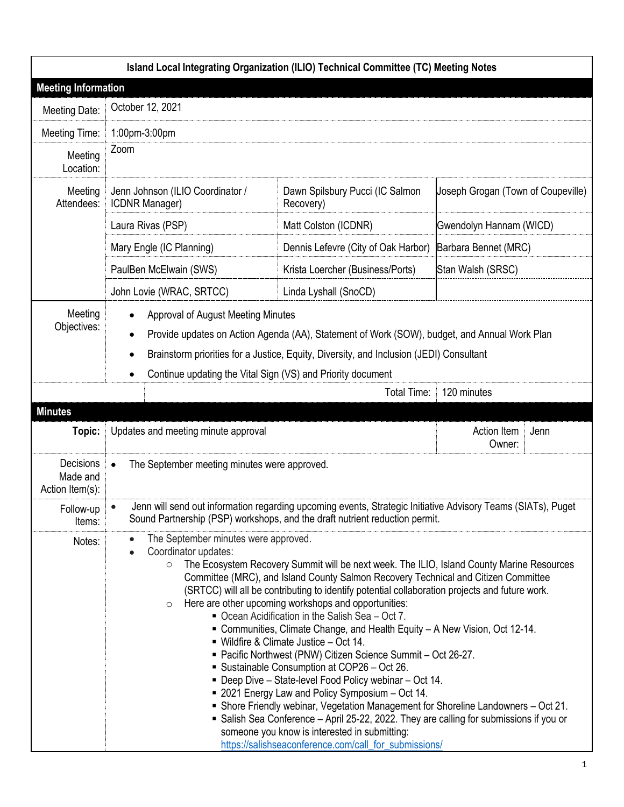|                                          |                                                                                                                                                                                                                                                                                                                                                                                                                                                                                                                                                                                                                                                                                                                                                                                                                                                                                                                                                                                                                                                                                                                                                | Island Local Integrating Organization (ILIO) Technical Committee (TC) Meeting Notes                                                                                                         |                                    |      |
|------------------------------------------|------------------------------------------------------------------------------------------------------------------------------------------------------------------------------------------------------------------------------------------------------------------------------------------------------------------------------------------------------------------------------------------------------------------------------------------------------------------------------------------------------------------------------------------------------------------------------------------------------------------------------------------------------------------------------------------------------------------------------------------------------------------------------------------------------------------------------------------------------------------------------------------------------------------------------------------------------------------------------------------------------------------------------------------------------------------------------------------------------------------------------------------------|---------------------------------------------------------------------------------------------------------------------------------------------------------------------------------------------|------------------------------------|------|
| <b>Meeting Information</b>               |                                                                                                                                                                                                                                                                                                                                                                                                                                                                                                                                                                                                                                                                                                                                                                                                                                                                                                                                                                                                                                                                                                                                                |                                                                                                                                                                                             |                                    |      |
| Meeting Date:                            | October 12, 2021                                                                                                                                                                                                                                                                                                                                                                                                                                                                                                                                                                                                                                                                                                                                                                                                                                                                                                                                                                                                                                                                                                                               |                                                                                                                                                                                             |                                    |      |
| Meeting Time:                            | 1:00pm-3:00pm                                                                                                                                                                                                                                                                                                                                                                                                                                                                                                                                                                                                                                                                                                                                                                                                                                                                                                                                                                                                                                                                                                                                  |                                                                                                                                                                                             |                                    |      |
| Meeting<br>Location:                     | Zoom                                                                                                                                                                                                                                                                                                                                                                                                                                                                                                                                                                                                                                                                                                                                                                                                                                                                                                                                                                                                                                                                                                                                           |                                                                                                                                                                                             |                                    |      |
| Meeting<br>Attendees:                    | Jenn Johnson (ILIO Coordinator /<br>ICDNR Manager)                                                                                                                                                                                                                                                                                                                                                                                                                                                                                                                                                                                                                                                                                                                                                                                                                                                                                                                                                                                                                                                                                             | Dawn Spilsbury Pucci (IC Salmon<br>Recovery)                                                                                                                                                | Joseph Grogan (Town of Coupeville) |      |
|                                          | Laura Rivas (PSP)                                                                                                                                                                                                                                                                                                                                                                                                                                                                                                                                                                                                                                                                                                                                                                                                                                                                                                                                                                                                                                                                                                                              | Matt Colston (ICDNR)                                                                                                                                                                        | Gwendolyn Hannam (WICD)            |      |
|                                          | Mary Engle (IC Planning)                                                                                                                                                                                                                                                                                                                                                                                                                                                                                                                                                                                                                                                                                                                                                                                                                                                                                                                                                                                                                                                                                                                       | Dennis Lefevre (City of Oak Harbor)                                                                                                                                                         | Barbara Bennet (MRC)               |      |
|                                          | PaulBen McElwain (SWS)                                                                                                                                                                                                                                                                                                                                                                                                                                                                                                                                                                                                                                                                                                                                                                                                                                                                                                                                                                                                                                                                                                                         | Krista Loercher (Business/Ports)                                                                                                                                                            | Stan Walsh (SRSC)                  |      |
|                                          | John Lovie (WRAC, SRTCC)                                                                                                                                                                                                                                                                                                                                                                                                                                                                                                                                                                                                                                                                                                                                                                                                                                                                                                                                                                                                                                                                                                                       | Linda Lyshall (SnoCD)                                                                                                                                                                       |                                    |      |
| Meeting<br>Objectives:                   | <b>Approval of August Meeting Minutes</b><br>Provide updates on Action Agenda (AA), Statement of Work (SOW), budget, and Annual Work Plan<br>$\bullet$<br>Brainstorm priorities for a Justice, Equity, Diversity, and Inclusion (JEDI) Consultant<br>$\bullet$<br>Continue updating the Vital Sign (VS) and Priority document<br>$\bullet$                                                                                                                                                                                                                                                                                                                                                                                                                                                                                                                                                                                                                                                                                                                                                                                                     |                                                                                                                                                                                             |                                    |      |
|                                          |                                                                                                                                                                                                                                                                                                                                                                                                                                                                                                                                                                                                                                                                                                                                                                                                                                                                                                                                                                                                                                                                                                                                                | Total Time:                                                                                                                                                                                 | 120 minutes                        |      |
| <b>Minutes</b><br>Topic:                 | Updates and meeting minute approval                                                                                                                                                                                                                                                                                                                                                                                                                                                                                                                                                                                                                                                                                                                                                                                                                                                                                                                                                                                                                                                                                                            |                                                                                                                                                                                             | Action Item<br>Owner:              | Jenn |
| Decisions<br>Made and<br>Action Item(s): | The September meeting minutes were approved.<br>$\bullet$                                                                                                                                                                                                                                                                                                                                                                                                                                                                                                                                                                                                                                                                                                                                                                                                                                                                                                                                                                                                                                                                                      |                                                                                                                                                                                             |                                    |      |
| Follow-up<br>Items:                      |                                                                                                                                                                                                                                                                                                                                                                                                                                                                                                                                                                                                                                                                                                                                                                                                                                                                                                                                                                                                                                                                                                                                                | Jenn will send out information regarding upcoming events, Strategic Initiative Advisory Teams (SIATs), Puget<br>Sound Partnership (PSP) workshops, and the draft nutrient reduction permit. |                                    |      |
| Notes:                                   | The September minutes were approved.<br>$\bullet$<br>Coordinator updates:<br>The Ecosystem Recovery Summit will be next week. The ILIO, Island County Marine Resources<br>$\circ$<br>Committee (MRC), and Island County Salmon Recovery Technical and Citizen Committee<br>(SRTCC) will all be contributing to identify potential collaboration projects and future work.<br>Here are other upcoming workshops and opportunities:<br>$\circ$<br>Ocean Acidification in the Salish Sea - Oct 7.<br>■ Communities, Climate Change, and Health Equity – A New Vision, Oct 12-14.<br>■ Wildfire & Climate Justice – Oct 14.<br>■ Pacific Northwest (PNW) Citizen Science Summit - Oct 26-27.<br>Sustainable Consumption at COP26 - Oct 26.<br>■ Deep Dive - State-level Food Policy webinar - Oct 14.<br>■ 2021 Energy Law and Policy Symposium – Oct 14.<br>■ Shore Friendly webinar, Vegetation Management for Shoreline Landowners – Oct 21.<br>Salish Sea Conference - April 25-22, 2022. They are calling for submissions if you or<br>someone you know is interested in submitting:<br>https://salishseaconference.com/call_for_submissions/ |                                                                                                                                                                                             |                                    |      |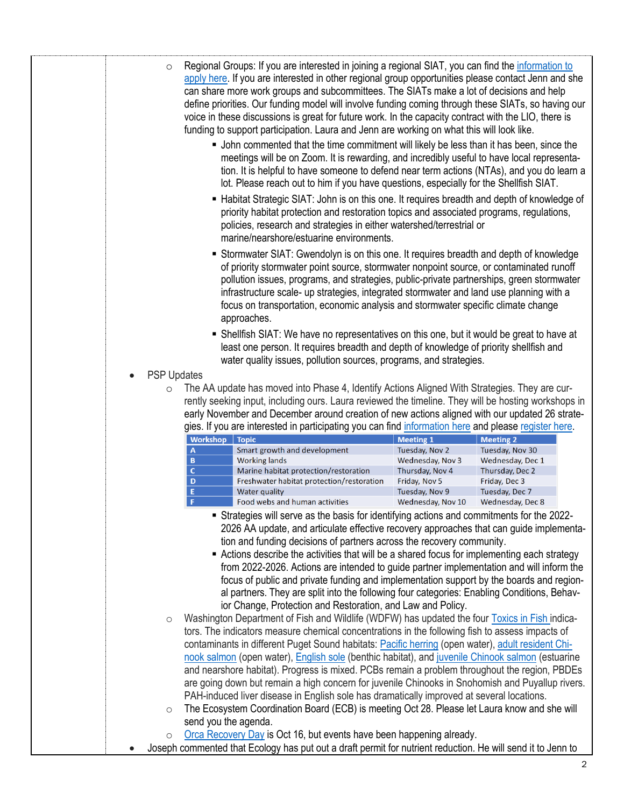| meetings will be on Zoom. It is rewarding, and incredibly useful to have local representa-<br>tion. It is helpful to have someone to defend near term actions (NTAs), and you do learn a<br>lot. Please reach out to him if you have questions, especially for the Shellfish SIAT.<br>■ Habitat Strategic SIAT: John is on this one. It requires breadth and depth of knowledge of<br>priority habitat protection and restoration topics and associated programs, regulations,<br>policies, research and strategies in either watershed/terrestrial or<br>marine/nearshore/estuarine environments.<br>Stormwater SIAT: Gwendolyn is on this one. It requires breadth and depth of knowledge<br>of priority stormwater point source, stormwater nonpoint source, or contaminated runoff<br>pollution issues, programs, and strategies, public-private partnerships, green stormwater<br>infrastructure scale- up strategies, integrated stormwater and land use planning with a<br>focus on transportation, economic analysis and stormwater specific climate change<br>approaches.<br>• Shellfish SIAT: We have no representatives on this one, but it would be great to have at<br>least one person. It requires breadth and depth of knowledge of priority shellfish and<br>water quality issues, pollution sources, programs, and strategies.<br><b>PSP Updates</b><br>The AA update has moved into Phase 4, Identify Actions Aligned With Strategies. They are cur-<br>$\circ$<br>rently seeking input, including ours. Laura reviewed the timeline. They will be hosting workshops in<br>early November and December around creation of new actions aligned with our updated 26 strate-<br>gies. If you are interested in participating you can find information here and please register here.<br>Workshop<br><b>Meeting 1</b><br><b>Meeting 2</b><br><b>Topic</b><br>Smart growth and development<br>Tuesday, Nov 2<br>Tuesday, Nov 30<br>A<br><b>Working lands</b><br>B<br>Wednesday, Nov 3<br>Wednesday, Dec 1<br>$\mathbf{C}$<br>Marine habitat protection/restoration<br>Thursday, Nov 4<br>Thursday, Dec 2<br>D<br>Freshwater habitat protection/restoration<br>Friday, Nov 5<br>Friday, Dec 3<br>E<br><b>Water quality</b><br>Tuesday, Nov 9<br>Tuesday, Dec 7<br>F<br>Food webs and human activities<br>Wednesday, Nov 10<br>Wednesday, Dec 8<br>Strategies will serve as the basis for identifying actions and commitments for the 2022-<br>2026 AA update, and articulate effective recovery approaches that can guide implementa-<br>tion and funding decisions of partners across the recovery community.<br>Actions describe the activities that will be a shared focus for implementing each strategy<br>from 2022-2026. Actions are intended to guide partner implementation and will inform the<br>focus of public and private funding and implementation support by the boards and region-<br>al partners. They are split into the following four categories: Enabling Conditions, Behav-<br>ior Change, Protection and Restoration, and Law and Policy.<br>Washington Department of Fish and Wildlife (WDFW) has updated the four Toxics in Fish indica-<br>$\circ$<br>tors. The indicators measure chemical concentrations in the following fish to assess impacts of<br>contaminants in different Puget Sound habitats: Pacific herring (open water), adult resident Chi-<br>nook salmon (open water), English sole (benthic habitat), and juvenile Chinook salmon (estuarine<br>and nearshore habitat). Progress is mixed. PCBs remain a problem throughout the region, PBDEs<br>are going down but remain a high concern for juvenile Chinooks in Snohomish and Puyallup rivers.<br>PAH-induced liver disease in English sole has dramatically improved at several locations.<br>The Ecosystem Coordination Board (ECB) is meeting Oct 28. Please let Laura know and she will<br>$\circlearrowright$<br>send you the agenda.<br>Orca Recovery Day is Oct 16, but events have been happening already.<br>$\circ$<br>Joseph commented that Ecology has put out a draft permit for nutrient reduction. He will send it to Jenn to |  | apply here. If you are interested in other regional group opportunities please contact Jenn and she<br>can share more work groups and subcommittees. The SIATs make a lot of decisions and help<br>define priorities. Our funding model will involve funding coming through these SIATs, so having our<br>voice in these discussions is great for future work. In the capacity contract with the LIO, there is<br>funding to support participation. Laura and Jenn are working on what this will look like.<br>• John commented that the time commitment will likely be less than it has been, since the |  |  |
|------------------------------------------------------------------------------------------------------------------------------------------------------------------------------------------------------------------------------------------------------------------------------------------------------------------------------------------------------------------------------------------------------------------------------------------------------------------------------------------------------------------------------------------------------------------------------------------------------------------------------------------------------------------------------------------------------------------------------------------------------------------------------------------------------------------------------------------------------------------------------------------------------------------------------------------------------------------------------------------------------------------------------------------------------------------------------------------------------------------------------------------------------------------------------------------------------------------------------------------------------------------------------------------------------------------------------------------------------------------------------------------------------------------------------------------------------------------------------------------------------------------------------------------------------------------------------------------------------------------------------------------------------------------------------------------------------------------------------------------------------------------------------------------------------------------------------------------------------------------------------------------------------------------------------------------------------------------------------------------------------------------------------------------------------------------------------------------------------------------------------------------------------------------------------------------------------------------------------------------------------------------------------------------------------------------------------------------------------------------------------------------------------------------------------------------------------------------------------------------------------------------------------------------------------------------------------------------------------------------------------------------------------------------------------------------------------------------------------------------------------------------------------------------------------------------------------------------------------------------------------------------------------------------------------------------------------------------------------------------------------------------------------------------------------------------------------------------------------------------------------------------------------------------------------------------------------------------------------------------------------------------------------------------------------------------------------------------------------------------------------------------------------------------------------------------------------------------------------------------------------------------------------------------------------------------------------------------------------------------------------------------------------------------------------------------------------------------------------------------------------------------------------------------------------------------------------------------------------------------------------------------------------------------------------------------------------------------------------------------------------------------------------------------------------------------------------------------------------------------------------------------------------------|--|----------------------------------------------------------------------------------------------------------------------------------------------------------------------------------------------------------------------------------------------------------------------------------------------------------------------------------------------------------------------------------------------------------------------------------------------------------------------------------------------------------------------------------------------------------------------------------------------------------|--|--|
|                                                                                                                                                                                                                                                                                                                                                                                                                                                                                                                                                                                                                                                                                                                                                                                                                                                                                                                                                                                                                                                                                                                                                                                                                                                                                                                                                                                                                                                                                                                                                                                                                                                                                                                                                                                                                                                                                                                                                                                                                                                                                                                                                                                                                                                                                                                                                                                                                                                                                                                                                                                                                                                                                                                                                                                                                                                                                                                                                                                                                                                                                                                                                                                                                                                                                                                                                                                                                                                                                                                                                                                                                                                                                                                                                                                                                                                                                                                                                                                                                                                                                                                                                            |  |                                                                                                                                                                                                                                                                                                                                                                                                                                                                                                                                                                                                          |  |  |
|                                                                                                                                                                                                                                                                                                                                                                                                                                                                                                                                                                                                                                                                                                                                                                                                                                                                                                                                                                                                                                                                                                                                                                                                                                                                                                                                                                                                                                                                                                                                                                                                                                                                                                                                                                                                                                                                                                                                                                                                                                                                                                                                                                                                                                                                                                                                                                                                                                                                                                                                                                                                                                                                                                                                                                                                                                                                                                                                                                                                                                                                                                                                                                                                                                                                                                                                                                                                                                                                                                                                                                                                                                                                                                                                                                                                                                                                                                                                                                                                                                                                                                                                                            |  |                                                                                                                                                                                                                                                                                                                                                                                                                                                                                                                                                                                                          |  |  |
|                                                                                                                                                                                                                                                                                                                                                                                                                                                                                                                                                                                                                                                                                                                                                                                                                                                                                                                                                                                                                                                                                                                                                                                                                                                                                                                                                                                                                                                                                                                                                                                                                                                                                                                                                                                                                                                                                                                                                                                                                                                                                                                                                                                                                                                                                                                                                                                                                                                                                                                                                                                                                                                                                                                                                                                                                                                                                                                                                                                                                                                                                                                                                                                                                                                                                                                                                                                                                                                                                                                                                                                                                                                                                                                                                                                                                                                                                                                                                                                                                                                                                                                                                            |  |                                                                                                                                                                                                                                                                                                                                                                                                                                                                                                                                                                                                          |  |  |
|                                                                                                                                                                                                                                                                                                                                                                                                                                                                                                                                                                                                                                                                                                                                                                                                                                                                                                                                                                                                                                                                                                                                                                                                                                                                                                                                                                                                                                                                                                                                                                                                                                                                                                                                                                                                                                                                                                                                                                                                                                                                                                                                                                                                                                                                                                                                                                                                                                                                                                                                                                                                                                                                                                                                                                                                                                                                                                                                                                                                                                                                                                                                                                                                                                                                                                                                                                                                                                                                                                                                                                                                                                                                                                                                                                                                                                                                                                                                                                                                                                                                                                                                                            |  |                                                                                                                                                                                                                                                                                                                                                                                                                                                                                                                                                                                                          |  |  |
|                                                                                                                                                                                                                                                                                                                                                                                                                                                                                                                                                                                                                                                                                                                                                                                                                                                                                                                                                                                                                                                                                                                                                                                                                                                                                                                                                                                                                                                                                                                                                                                                                                                                                                                                                                                                                                                                                                                                                                                                                                                                                                                                                                                                                                                                                                                                                                                                                                                                                                                                                                                                                                                                                                                                                                                                                                                                                                                                                                                                                                                                                                                                                                                                                                                                                                                                                                                                                                                                                                                                                                                                                                                                                                                                                                                                                                                                                                                                                                                                                                                                                                                                                            |  |                                                                                                                                                                                                                                                                                                                                                                                                                                                                                                                                                                                                          |  |  |
|                                                                                                                                                                                                                                                                                                                                                                                                                                                                                                                                                                                                                                                                                                                                                                                                                                                                                                                                                                                                                                                                                                                                                                                                                                                                                                                                                                                                                                                                                                                                                                                                                                                                                                                                                                                                                                                                                                                                                                                                                                                                                                                                                                                                                                                                                                                                                                                                                                                                                                                                                                                                                                                                                                                                                                                                                                                                                                                                                                                                                                                                                                                                                                                                                                                                                                                                                                                                                                                                                                                                                                                                                                                                                                                                                                                                                                                                                                                                                                                                                                                                                                                                                            |  |                                                                                                                                                                                                                                                                                                                                                                                                                                                                                                                                                                                                          |  |  |
|                                                                                                                                                                                                                                                                                                                                                                                                                                                                                                                                                                                                                                                                                                                                                                                                                                                                                                                                                                                                                                                                                                                                                                                                                                                                                                                                                                                                                                                                                                                                                                                                                                                                                                                                                                                                                                                                                                                                                                                                                                                                                                                                                                                                                                                                                                                                                                                                                                                                                                                                                                                                                                                                                                                                                                                                                                                                                                                                                                                                                                                                                                                                                                                                                                                                                                                                                                                                                                                                                                                                                                                                                                                                                                                                                                                                                                                                                                                                                                                                                                                                                                                                                            |  |                                                                                                                                                                                                                                                                                                                                                                                                                                                                                                                                                                                                          |  |  |
|                                                                                                                                                                                                                                                                                                                                                                                                                                                                                                                                                                                                                                                                                                                                                                                                                                                                                                                                                                                                                                                                                                                                                                                                                                                                                                                                                                                                                                                                                                                                                                                                                                                                                                                                                                                                                                                                                                                                                                                                                                                                                                                                                                                                                                                                                                                                                                                                                                                                                                                                                                                                                                                                                                                                                                                                                                                                                                                                                                                                                                                                                                                                                                                                                                                                                                                                                                                                                                                                                                                                                                                                                                                                                                                                                                                                                                                                                                                                                                                                                                                                                                                                                            |  |                                                                                                                                                                                                                                                                                                                                                                                                                                                                                                                                                                                                          |  |  |
|                                                                                                                                                                                                                                                                                                                                                                                                                                                                                                                                                                                                                                                                                                                                                                                                                                                                                                                                                                                                                                                                                                                                                                                                                                                                                                                                                                                                                                                                                                                                                                                                                                                                                                                                                                                                                                                                                                                                                                                                                                                                                                                                                                                                                                                                                                                                                                                                                                                                                                                                                                                                                                                                                                                                                                                                                                                                                                                                                                                                                                                                                                                                                                                                                                                                                                                                                                                                                                                                                                                                                                                                                                                                                                                                                                                                                                                                                                                                                                                                                                                                                                                                                            |  |                                                                                                                                                                                                                                                                                                                                                                                                                                                                                                                                                                                                          |  |  |
|                                                                                                                                                                                                                                                                                                                                                                                                                                                                                                                                                                                                                                                                                                                                                                                                                                                                                                                                                                                                                                                                                                                                                                                                                                                                                                                                                                                                                                                                                                                                                                                                                                                                                                                                                                                                                                                                                                                                                                                                                                                                                                                                                                                                                                                                                                                                                                                                                                                                                                                                                                                                                                                                                                                                                                                                                                                                                                                                                                                                                                                                                                                                                                                                                                                                                                                                                                                                                                                                                                                                                                                                                                                                                                                                                                                                                                                                                                                                                                                                                                                                                                                                                            |  |                                                                                                                                                                                                                                                                                                                                                                                                                                                                                                                                                                                                          |  |  |
|                                                                                                                                                                                                                                                                                                                                                                                                                                                                                                                                                                                                                                                                                                                                                                                                                                                                                                                                                                                                                                                                                                                                                                                                                                                                                                                                                                                                                                                                                                                                                                                                                                                                                                                                                                                                                                                                                                                                                                                                                                                                                                                                                                                                                                                                                                                                                                                                                                                                                                                                                                                                                                                                                                                                                                                                                                                                                                                                                                                                                                                                                                                                                                                                                                                                                                                                                                                                                                                                                                                                                                                                                                                                                                                                                                                                                                                                                                                                                                                                                                                                                                                                                            |  |                                                                                                                                                                                                                                                                                                                                                                                                                                                                                                                                                                                                          |  |  |
|                                                                                                                                                                                                                                                                                                                                                                                                                                                                                                                                                                                                                                                                                                                                                                                                                                                                                                                                                                                                                                                                                                                                                                                                                                                                                                                                                                                                                                                                                                                                                                                                                                                                                                                                                                                                                                                                                                                                                                                                                                                                                                                                                                                                                                                                                                                                                                                                                                                                                                                                                                                                                                                                                                                                                                                                                                                                                                                                                                                                                                                                                                                                                                                                                                                                                                                                                                                                                                                                                                                                                                                                                                                                                                                                                                                                                                                                                                                                                                                                                                                                                                                                                            |  |                                                                                                                                                                                                                                                                                                                                                                                                                                                                                                                                                                                                          |  |  |
|                                                                                                                                                                                                                                                                                                                                                                                                                                                                                                                                                                                                                                                                                                                                                                                                                                                                                                                                                                                                                                                                                                                                                                                                                                                                                                                                                                                                                                                                                                                                                                                                                                                                                                                                                                                                                                                                                                                                                                                                                                                                                                                                                                                                                                                                                                                                                                                                                                                                                                                                                                                                                                                                                                                                                                                                                                                                                                                                                                                                                                                                                                                                                                                                                                                                                                                                                                                                                                                                                                                                                                                                                                                                                                                                                                                                                                                                                                                                                                                                                                                                                                                                                            |  |                                                                                                                                                                                                                                                                                                                                                                                                                                                                                                                                                                                                          |  |  |
|                                                                                                                                                                                                                                                                                                                                                                                                                                                                                                                                                                                                                                                                                                                                                                                                                                                                                                                                                                                                                                                                                                                                                                                                                                                                                                                                                                                                                                                                                                                                                                                                                                                                                                                                                                                                                                                                                                                                                                                                                                                                                                                                                                                                                                                                                                                                                                                                                                                                                                                                                                                                                                                                                                                                                                                                                                                                                                                                                                                                                                                                                                                                                                                                                                                                                                                                                                                                                                                                                                                                                                                                                                                                                                                                                                                                                                                                                                                                                                                                                                                                                                                                                            |  |                                                                                                                                                                                                                                                                                                                                                                                                                                                                                                                                                                                                          |  |  |
|                                                                                                                                                                                                                                                                                                                                                                                                                                                                                                                                                                                                                                                                                                                                                                                                                                                                                                                                                                                                                                                                                                                                                                                                                                                                                                                                                                                                                                                                                                                                                                                                                                                                                                                                                                                                                                                                                                                                                                                                                                                                                                                                                                                                                                                                                                                                                                                                                                                                                                                                                                                                                                                                                                                                                                                                                                                                                                                                                                                                                                                                                                                                                                                                                                                                                                                                                                                                                                                                                                                                                                                                                                                                                                                                                                                                                                                                                                                                                                                                                                                                                                                                                            |  |                                                                                                                                                                                                                                                                                                                                                                                                                                                                                                                                                                                                          |  |  |
|                                                                                                                                                                                                                                                                                                                                                                                                                                                                                                                                                                                                                                                                                                                                                                                                                                                                                                                                                                                                                                                                                                                                                                                                                                                                                                                                                                                                                                                                                                                                                                                                                                                                                                                                                                                                                                                                                                                                                                                                                                                                                                                                                                                                                                                                                                                                                                                                                                                                                                                                                                                                                                                                                                                                                                                                                                                                                                                                                                                                                                                                                                                                                                                                                                                                                                                                                                                                                                                                                                                                                                                                                                                                                                                                                                                                                                                                                                                                                                                                                                                                                                                                                            |  |                                                                                                                                                                                                                                                                                                                                                                                                                                                                                                                                                                                                          |  |  |
|                                                                                                                                                                                                                                                                                                                                                                                                                                                                                                                                                                                                                                                                                                                                                                                                                                                                                                                                                                                                                                                                                                                                                                                                                                                                                                                                                                                                                                                                                                                                                                                                                                                                                                                                                                                                                                                                                                                                                                                                                                                                                                                                                                                                                                                                                                                                                                                                                                                                                                                                                                                                                                                                                                                                                                                                                                                                                                                                                                                                                                                                                                                                                                                                                                                                                                                                                                                                                                                                                                                                                                                                                                                                                                                                                                                                                                                                                                                                                                                                                                                                                                                                                            |  |                                                                                                                                                                                                                                                                                                                                                                                                                                                                                                                                                                                                          |  |  |
|                                                                                                                                                                                                                                                                                                                                                                                                                                                                                                                                                                                                                                                                                                                                                                                                                                                                                                                                                                                                                                                                                                                                                                                                                                                                                                                                                                                                                                                                                                                                                                                                                                                                                                                                                                                                                                                                                                                                                                                                                                                                                                                                                                                                                                                                                                                                                                                                                                                                                                                                                                                                                                                                                                                                                                                                                                                                                                                                                                                                                                                                                                                                                                                                                                                                                                                                                                                                                                                                                                                                                                                                                                                                                                                                                                                                                                                                                                                                                                                                                                                                                                                                                            |  |                                                                                                                                                                                                                                                                                                                                                                                                                                                                                                                                                                                                          |  |  |
|                                                                                                                                                                                                                                                                                                                                                                                                                                                                                                                                                                                                                                                                                                                                                                                                                                                                                                                                                                                                                                                                                                                                                                                                                                                                                                                                                                                                                                                                                                                                                                                                                                                                                                                                                                                                                                                                                                                                                                                                                                                                                                                                                                                                                                                                                                                                                                                                                                                                                                                                                                                                                                                                                                                                                                                                                                                                                                                                                                                                                                                                                                                                                                                                                                                                                                                                                                                                                                                                                                                                                                                                                                                                                                                                                                                                                                                                                                                                                                                                                                                                                                                                                            |  |                                                                                                                                                                                                                                                                                                                                                                                                                                                                                                                                                                                                          |  |  |
|                                                                                                                                                                                                                                                                                                                                                                                                                                                                                                                                                                                                                                                                                                                                                                                                                                                                                                                                                                                                                                                                                                                                                                                                                                                                                                                                                                                                                                                                                                                                                                                                                                                                                                                                                                                                                                                                                                                                                                                                                                                                                                                                                                                                                                                                                                                                                                                                                                                                                                                                                                                                                                                                                                                                                                                                                                                                                                                                                                                                                                                                                                                                                                                                                                                                                                                                                                                                                                                                                                                                                                                                                                                                                                                                                                                                                                                                                                                                                                                                                                                                                                                                                            |  |                                                                                                                                                                                                                                                                                                                                                                                                                                                                                                                                                                                                          |  |  |
|                                                                                                                                                                                                                                                                                                                                                                                                                                                                                                                                                                                                                                                                                                                                                                                                                                                                                                                                                                                                                                                                                                                                                                                                                                                                                                                                                                                                                                                                                                                                                                                                                                                                                                                                                                                                                                                                                                                                                                                                                                                                                                                                                                                                                                                                                                                                                                                                                                                                                                                                                                                                                                                                                                                                                                                                                                                                                                                                                                                                                                                                                                                                                                                                                                                                                                                                                                                                                                                                                                                                                                                                                                                                                                                                                                                                                                                                                                                                                                                                                                                                                                                                                            |  |                                                                                                                                                                                                                                                                                                                                                                                                                                                                                                                                                                                                          |  |  |
|                                                                                                                                                                                                                                                                                                                                                                                                                                                                                                                                                                                                                                                                                                                                                                                                                                                                                                                                                                                                                                                                                                                                                                                                                                                                                                                                                                                                                                                                                                                                                                                                                                                                                                                                                                                                                                                                                                                                                                                                                                                                                                                                                                                                                                                                                                                                                                                                                                                                                                                                                                                                                                                                                                                                                                                                                                                                                                                                                                                                                                                                                                                                                                                                                                                                                                                                                                                                                                                                                                                                                                                                                                                                                                                                                                                                                                                                                                                                                                                                                                                                                                                                                            |  |                                                                                                                                                                                                                                                                                                                                                                                                                                                                                                                                                                                                          |  |  |
|                                                                                                                                                                                                                                                                                                                                                                                                                                                                                                                                                                                                                                                                                                                                                                                                                                                                                                                                                                                                                                                                                                                                                                                                                                                                                                                                                                                                                                                                                                                                                                                                                                                                                                                                                                                                                                                                                                                                                                                                                                                                                                                                                                                                                                                                                                                                                                                                                                                                                                                                                                                                                                                                                                                                                                                                                                                                                                                                                                                                                                                                                                                                                                                                                                                                                                                                                                                                                                                                                                                                                                                                                                                                                                                                                                                                                                                                                                                                                                                                                                                                                                                                                            |  |                                                                                                                                                                                                                                                                                                                                                                                                                                                                                                                                                                                                          |  |  |
|                                                                                                                                                                                                                                                                                                                                                                                                                                                                                                                                                                                                                                                                                                                                                                                                                                                                                                                                                                                                                                                                                                                                                                                                                                                                                                                                                                                                                                                                                                                                                                                                                                                                                                                                                                                                                                                                                                                                                                                                                                                                                                                                                                                                                                                                                                                                                                                                                                                                                                                                                                                                                                                                                                                                                                                                                                                                                                                                                                                                                                                                                                                                                                                                                                                                                                                                                                                                                                                                                                                                                                                                                                                                                                                                                                                                                                                                                                                                                                                                                                                                                                                                                            |  |                                                                                                                                                                                                                                                                                                                                                                                                                                                                                                                                                                                                          |  |  |
|                                                                                                                                                                                                                                                                                                                                                                                                                                                                                                                                                                                                                                                                                                                                                                                                                                                                                                                                                                                                                                                                                                                                                                                                                                                                                                                                                                                                                                                                                                                                                                                                                                                                                                                                                                                                                                                                                                                                                                                                                                                                                                                                                                                                                                                                                                                                                                                                                                                                                                                                                                                                                                                                                                                                                                                                                                                                                                                                                                                                                                                                                                                                                                                                                                                                                                                                                                                                                                                                                                                                                                                                                                                                                                                                                                                                                                                                                                                                                                                                                                                                                                                                                            |  |                                                                                                                                                                                                                                                                                                                                                                                                                                                                                                                                                                                                          |  |  |
|                                                                                                                                                                                                                                                                                                                                                                                                                                                                                                                                                                                                                                                                                                                                                                                                                                                                                                                                                                                                                                                                                                                                                                                                                                                                                                                                                                                                                                                                                                                                                                                                                                                                                                                                                                                                                                                                                                                                                                                                                                                                                                                                                                                                                                                                                                                                                                                                                                                                                                                                                                                                                                                                                                                                                                                                                                                                                                                                                                                                                                                                                                                                                                                                                                                                                                                                                                                                                                                                                                                                                                                                                                                                                                                                                                                                                                                                                                                                                                                                                                                                                                                                                            |  |                                                                                                                                                                                                                                                                                                                                                                                                                                                                                                                                                                                                          |  |  |
|                                                                                                                                                                                                                                                                                                                                                                                                                                                                                                                                                                                                                                                                                                                                                                                                                                                                                                                                                                                                                                                                                                                                                                                                                                                                                                                                                                                                                                                                                                                                                                                                                                                                                                                                                                                                                                                                                                                                                                                                                                                                                                                                                                                                                                                                                                                                                                                                                                                                                                                                                                                                                                                                                                                                                                                                                                                                                                                                                                                                                                                                                                                                                                                                                                                                                                                                                                                                                                                                                                                                                                                                                                                                                                                                                                                                                                                                                                                                                                                                                                                                                                                                                            |  |                                                                                                                                                                                                                                                                                                                                                                                                                                                                                                                                                                                                          |  |  |
|                                                                                                                                                                                                                                                                                                                                                                                                                                                                                                                                                                                                                                                                                                                                                                                                                                                                                                                                                                                                                                                                                                                                                                                                                                                                                                                                                                                                                                                                                                                                                                                                                                                                                                                                                                                                                                                                                                                                                                                                                                                                                                                                                                                                                                                                                                                                                                                                                                                                                                                                                                                                                                                                                                                                                                                                                                                                                                                                                                                                                                                                                                                                                                                                                                                                                                                                                                                                                                                                                                                                                                                                                                                                                                                                                                                                                                                                                                                                                                                                                                                                                                                                                            |  |                                                                                                                                                                                                                                                                                                                                                                                                                                                                                                                                                                                                          |  |  |
|                                                                                                                                                                                                                                                                                                                                                                                                                                                                                                                                                                                                                                                                                                                                                                                                                                                                                                                                                                                                                                                                                                                                                                                                                                                                                                                                                                                                                                                                                                                                                                                                                                                                                                                                                                                                                                                                                                                                                                                                                                                                                                                                                                                                                                                                                                                                                                                                                                                                                                                                                                                                                                                                                                                                                                                                                                                                                                                                                                                                                                                                                                                                                                                                                                                                                                                                                                                                                                                                                                                                                                                                                                                                                                                                                                                                                                                                                                                                                                                                                                                                                                                                                            |  |                                                                                                                                                                                                                                                                                                                                                                                                                                                                                                                                                                                                          |  |  |
|                                                                                                                                                                                                                                                                                                                                                                                                                                                                                                                                                                                                                                                                                                                                                                                                                                                                                                                                                                                                                                                                                                                                                                                                                                                                                                                                                                                                                                                                                                                                                                                                                                                                                                                                                                                                                                                                                                                                                                                                                                                                                                                                                                                                                                                                                                                                                                                                                                                                                                                                                                                                                                                                                                                                                                                                                                                                                                                                                                                                                                                                                                                                                                                                                                                                                                                                                                                                                                                                                                                                                                                                                                                                                                                                                                                                                                                                                                                                                                                                                                                                                                                                                            |  |                                                                                                                                                                                                                                                                                                                                                                                                                                                                                                                                                                                                          |  |  |
|                                                                                                                                                                                                                                                                                                                                                                                                                                                                                                                                                                                                                                                                                                                                                                                                                                                                                                                                                                                                                                                                                                                                                                                                                                                                                                                                                                                                                                                                                                                                                                                                                                                                                                                                                                                                                                                                                                                                                                                                                                                                                                                                                                                                                                                                                                                                                                                                                                                                                                                                                                                                                                                                                                                                                                                                                                                                                                                                                                                                                                                                                                                                                                                                                                                                                                                                                                                                                                                                                                                                                                                                                                                                                                                                                                                                                                                                                                                                                                                                                                                                                                                                                            |  |                                                                                                                                                                                                                                                                                                                                                                                                                                                                                                                                                                                                          |  |  |
|                                                                                                                                                                                                                                                                                                                                                                                                                                                                                                                                                                                                                                                                                                                                                                                                                                                                                                                                                                                                                                                                                                                                                                                                                                                                                                                                                                                                                                                                                                                                                                                                                                                                                                                                                                                                                                                                                                                                                                                                                                                                                                                                                                                                                                                                                                                                                                                                                                                                                                                                                                                                                                                                                                                                                                                                                                                                                                                                                                                                                                                                                                                                                                                                                                                                                                                                                                                                                                                                                                                                                                                                                                                                                                                                                                                                                                                                                                                                                                                                                                                                                                                                                            |  |                                                                                                                                                                                                                                                                                                                                                                                                                                                                                                                                                                                                          |  |  |
|                                                                                                                                                                                                                                                                                                                                                                                                                                                                                                                                                                                                                                                                                                                                                                                                                                                                                                                                                                                                                                                                                                                                                                                                                                                                                                                                                                                                                                                                                                                                                                                                                                                                                                                                                                                                                                                                                                                                                                                                                                                                                                                                                                                                                                                                                                                                                                                                                                                                                                                                                                                                                                                                                                                                                                                                                                                                                                                                                                                                                                                                                                                                                                                                                                                                                                                                                                                                                                                                                                                                                                                                                                                                                                                                                                                                                                                                                                                                                                                                                                                                                                                                                            |  |                                                                                                                                                                                                                                                                                                                                                                                                                                                                                                                                                                                                          |  |  |

o Regional Groups: If you are interested in joining a regional SIAT, you can find the [information to](https://pugetsoundestuary.wa.gov/2021/09/28/puget-sound-needs-you-join-a-strategic-initiative-lead-advisory-team/#more-3570)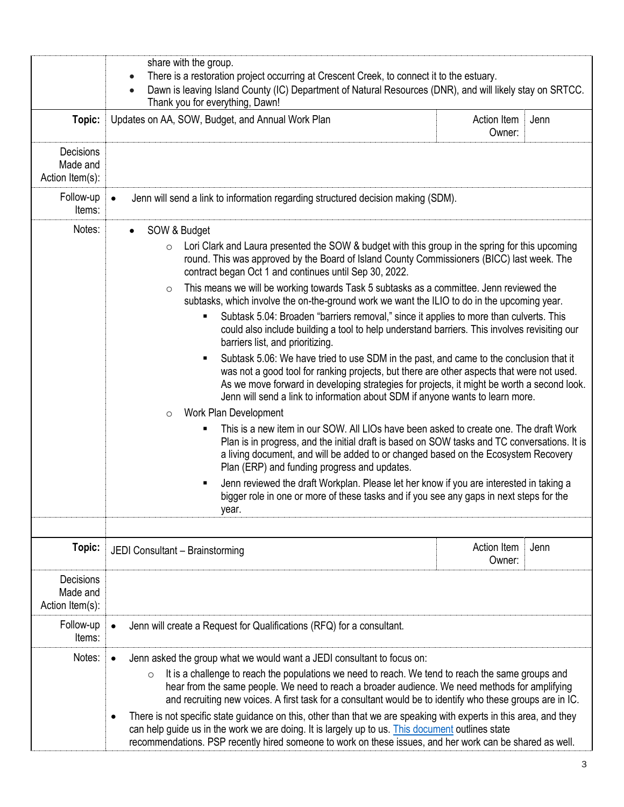|                                                 | share with the group.<br>There is a restoration project occurring at Crescent Creek, to connect it to the estuary.<br>$\bullet$<br>Dawn is leaving Island County (IC) Department of Natural Resources (DNR), and will likely stay on SRTCC.<br>$\bullet$<br>Thank you for everything, Dawn!                                                                                                                                                                                                                                                                                                                                                                                                                                                                                                                                                                                                                                                                                                                                                                                                                                                                                                                                                                                                                                                                                                                                                                                                                                                                                                                                                                                     |                       |      |
|-------------------------------------------------|---------------------------------------------------------------------------------------------------------------------------------------------------------------------------------------------------------------------------------------------------------------------------------------------------------------------------------------------------------------------------------------------------------------------------------------------------------------------------------------------------------------------------------------------------------------------------------------------------------------------------------------------------------------------------------------------------------------------------------------------------------------------------------------------------------------------------------------------------------------------------------------------------------------------------------------------------------------------------------------------------------------------------------------------------------------------------------------------------------------------------------------------------------------------------------------------------------------------------------------------------------------------------------------------------------------------------------------------------------------------------------------------------------------------------------------------------------------------------------------------------------------------------------------------------------------------------------------------------------------------------------------------------------------------------------|-----------------------|------|
| Topic:                                          | Updates on AA, SOW, Budget, and Annual Work Plan                                                                                                                                                                                                                                                                                                                                                                                                                                                                                                                                                                                                                                                                                                                                                                                                                                                                                                                                                                                                                                                                                                                                                                                                                                                                                                                                                                                                                                                                                                                                                                                                                                | Action Item<br>Owner: | Jenn |
| Decisions<br>Made and<br>Action Item(s):        |                                                                                                                                                                                                                                                                                                                                                                                                                                                                                                                                                                                                                                                                                                                                                                                                                                                                                                                                                                                                                                                                                                                                                                                                                                                                                                                                                                                                                                                                                                                                                                                                                                                                                 |                       |      |
| Follow-up<br>Items:                             | Jenn will send a link to information regarding structured decision making (SDM).<br>$\bullet$                                                                                                                                                                                                                                                                                                                                                                                                                                                                                                                                                                                                                                                                                                                                                                                                                                                                                                                                                                                                                                                                                                                                                                                                                                                                                                                                                                                                                                                                                                                                                                                   |                       |      |
| Notes:                                          | SOW & Budget<br>$\bullet$<br>Lori Clark and Laura presented the SOW & budget with this group in the spring for this upcoming<br>$\circ$<br>round. This was approved by the Board of Island County Commissioners (BICC) last week. The<br>contract began Oct 1 and continues until Sep 30, 2022.<br>This means we will be working towards Task 5 subtasks as a committee. Jenn reviewed the<br>$\circ$<br>subtasks, which involve the on-the-ground work we want the ILIO to do in the upcoming year.<br>Subtask 5.04: Broaden "barriers removal," since it applies to more than culverts. This<br>could also include building a tool to help understand barriers. This involves revisiting our<br>barriers list, and prioritizing.<br>Subtask 5.06: We have tried to use SDM in the past, and came to the conclusion that it<br>was not a good tool for ranking projects, but there are other aspects that were not used.<br>As we move forward in developing strategies for projects, it might be worth a second look.<br>Jenn will send a link to information about SDM if anyone wants to learn more.<br>Work Plan Development<br>$\circ$<br>This is a new item in our SOW. All LIOs have been asked to create one. The draft Work<br>Plan is in progress, and the initial draft is based on SOW tasks and TC conversations. It is<br>a living document, and will be added to or changed based on the Ecosystem Recovery<br>Plan (ERP) and funding progress and updates.<br>Jenn reviewed the draft Workplan. Please let her know if you are interested in taking a<br>٠<br>bigger role in one or more of these tasks and if you see any gaps in next steps for the<br>year. |                       |      |
| Topic:                                          | JEDI Consultant - Brainstorming                                                                                                                                                                                                                                                                                                                                                                                                                                                                                                                                                                                                                                                                                                                                                                                                                                                                                                                                                                                                                                                                                                                                                                                                                                                                                                                                                                                                                                                                                                                                                                                                                                                 | Action Item<br>Owner: | Jenn |
| <b>Decisions</b><br>Made and<br>Action Item(s): |                                                                                                                                                                                                                                                                                                                                                                                                                                                                                                                                                                                                                                                                                                                                                                                                                                                                                                                                                                                                                                                                                                                                                                                                                                                                                                                                                                                                                                                                                                                                                                                                                                                                                 |                       |      |
| Follow-up<br>Items:                             | Jenn will create a Request for Qualifications (RFQ) for a consultant.<br>$\bullet$                                                                                                                                                                                                                                                                                                                                                                                                                                                                                                                                                                                                                                                                                                                                                                                                                                                                                                                                                                                                                                                                                                                                                                                                                                                                                                                                                                                                                                                                                                                                                                                              |                       |      |
| Notes:                                          | Jenn asked the group what we would want a JEDI consultant to focus on:<br>It is a challenge to reach the populations we need to reach. We tend to reach the same groups and<br>$\circ$<br>hear from the same people. We need to reach a broader audience. We need methods for amplifying<br>and recruiting new voices. A first task for a consultant would be to identify who these groups are in IC.<br>There is not specific state guidance on this, other than that we are speaking with experts in this area, and they<br>can help quide us in the work we are doing. It is largely up to us. This document outlines state<br>recommendations. PSP recently hired someone to work on these issues, and her work can be shared as well.                                                                                                                                                                                                                                                                                                                                                                                                                                                                                                                                                                                                                                                                                                                                                                                                                                                                                                                                      |                       |      |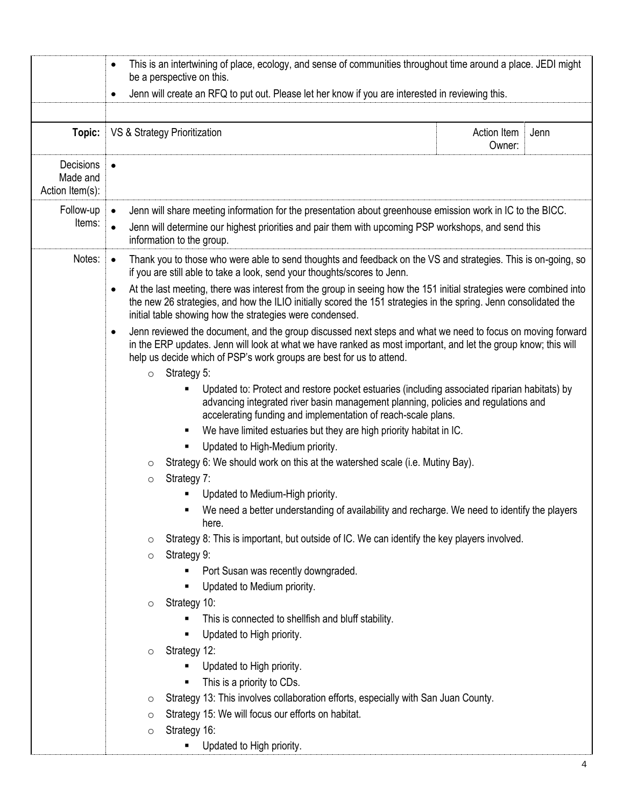|                                          | This is an intertwining of place, ecology, and sense of communities throughout time around a place. JEDI might<br>$\bullet$<br>be a perspective on this.<br>Jenn will create an RFQ to put out. Please let her know if you are interested in reviewing this.<br>$\bullet$                                         |  |  |
|------------------------------------------|-------------------------------------------------------------------------------------------------------------------------------------------------------------------------------------------------------------------------------------------------------------------------------------------------------------------|--|--|
| Topic:                                   | VS & Strategy Prioritization<br>Action Item<br>Jenn<br>Owner:                                                                                                                                                                                                                                                     |  |  |
| Decisions<br>Made and<br>Action Item(s): |                                                                                                                                                                                                                                                                                                                   |  |  |
| Follow-up<br>Items:                      | Jenn will share meeting information for the presentation about greenhouse emission work in IC to the BICC.<br>$\bullet$<br>Jenn will determine our highest priorities and pair them with upcoming PSP workshops, and send this<br>$\bullet$<br>information to the group.                                          |  |  |
| Notes:                                   | Thank you to those who were able to send thoughts and feedback on the VS and strategies. This is on-going, so<br>$\bullet$<br>if you are still able to take a look, send your thoughts/scores to Jenn.                                                                                                            |  |  |
|                                          | At the last meeting, there was interest from the group in seeing how the 151 initial strategies were combined into<br>$\bullet$<br>the new 26 strategies, and how the ILIO initially scored the 151 strategies in the spring. Jenn consolidated the<br>initial table showing how the strategies were condensed.   |  |  |
|                                          | Jenn reviewed the document, and the group discussed next steps and what we need to focus on moving forward<br>$\bullet$<br>in the ERP updates. Jenn will look at what we have ranked as most important, and let the group know; this will<br>help us decide which of PSP's work groups are best for us to attend. |  |  |
|                                          | Strategy 5:<br>$\circ$<br>Updated to: Protect and restore pocket estuaries (including associated riparian habitats) by<br>advancing integrated river basin management planning, policies and regulations and<br>accelerating funding and implementation of reach-scale plans.                                     |  |  |
|                                          | We have limited estuaries but they are high priority habitat in IC.<br>٠                                                                                                                                                                                                                                          |  |  |
|                                          | Updated to High-Medium priority.                                                                                                                                                                                                                                                                                  |  |  |
|                                          | Strategy 6: We should work on this at the watershed scale (i.e. Mutiny Bay).<br>$\circ$                                                                                                                                                                                                                           |  |  |
|                                          | Strategy 7:<br>$\circ$                                                                                                                                                                                                                                                                                            |  |  |
|                                          | Updated to Medium-High priority.                                                                                                                                                                                                                                                                                  |  |  |
|                                          | • We need a better understanding of availability and recharge. We need to identify the players<br>here.                                                                                                                                                                                                           |  |  |
|                                          | Strategy 8: This is important, but outside of IC. We can identify the key players involved.<br>$\circ$                                                                                                                                                                                                            |  |  |
|                                          | Strategy 9:<br>$\circ$                                                                                                                                                                                                                                                                                            |  |  |
|                                          | Port Susan was recently downgraded.                                                                                                                                                                                                                                                                               |  |  |
|                                          | Updated to Medium priority.                                                                                                                                                                                                                                                                                       |  |  |
|                                          | Strategy 10:<br>$\circ$                                                                                                                                                                                                                                                                                           |  |  |
|                                          | This is connected to shellfish and bluff stability.                                                                                                                                                                                                                                                               |  |  |
|                                          | Updated to High priority.                                                                                                                                                                                                                                                                                         |  |  |
|                                          | Strategy 12:<br>$\circ$                                                                                                                                                                                                                                                                                           |  |  |
|                                          | Updated to High priority.                                                                                                                                                                                                                                                                                         |  |  |
|                                          | This is a priority to CDs.<br>Strategy 13: This involves collaboration efforts, especially with San Juan County.<br>$\circ$                                                                                                                                                                                       |  |  |
|                                          | Strategy 15: We will focus our efforts on habitat.<br>$\circ$                                                                                                                                                                                                                                                     |  |  |
|                                          | Strategy 16:<br>$\circ$                                                                                                                                                                                                                                                                                           |  |  |
|                                          | Updated to High priority.                                                                                                                                                                                                                                                                                         |  |  |